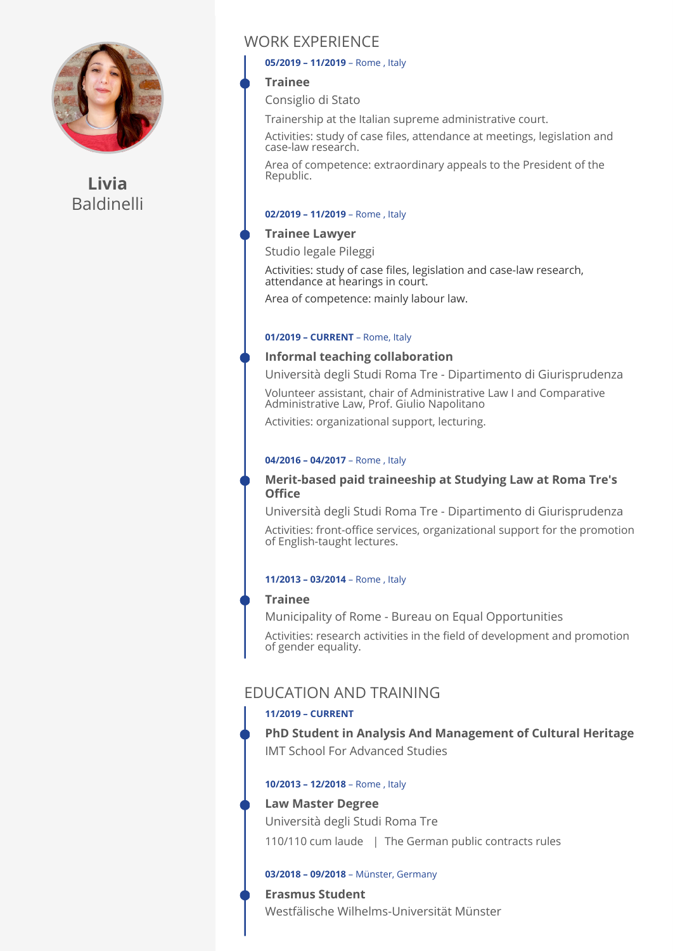

**Livia**  Baldinelli

# WORK EXPERIENCE

#### **05/2019 – 11/2019** – Rome , Italy

### **Trainee**

Consiglio di Stato

Trainership at the Italian supreme administrative court.

Activities: study of case files, attendance at meetings, legislation and case-law research.

Area of competence: extraordinary appeals to the President of the Republic.

### **02/2019 – 11/2019** – Rome , Italy

### **Trainee Lawyer**

Studio legale Pileggi

Activities: study of case files, legislation and case-law research, attendance at hearings in court.

Area of competence: mainly labour law.

#### **01/2019 – CURRENT** – Rome, Italy

### **Informal teaching collaboration**

Università degli Studi Roma Tre - Dipartimento di Giurisprudenza

Volunteer assistant, chair of Administrative Law I and Comparative Administrative Law, Prof. Giulio Napolitano

Activities: organizational support, lecturing.

### **04/2016 – 04/2017** – Rome , Italy

### **Merit-based paid traineeship at Studying Law at Roma Tre's Office**

Università degli Studi Roma Tre - Dipartimento di Giurisprudenza

Activities: front-office services, organizational support for the promotion of English-taught lectures.

#### **11/2013 – 03/2014** – Rome , Italy

### **Trainee**

Municipality of Rome - Bureau on Equal Opportunities

Activities: research activities in the field of development and promotion of gender equality.

# EDUCATION AND TRAINING

## **11/2019 – CURRENT**

**PhD Student in Analysis And Management of Cultural Heritage**  IMT School For Advanced Studies

### **10/2013 – 12/2018** – Rome , Italy

### **Law Master Degree**

Università degli Studi Roma Tre

110/110 cum laude | The German public contracts rules

### **03/2018 – 09/2018** – Münster, Germany

## **Erasmus Student**

Westfälische Wilhelms-Universität Münster